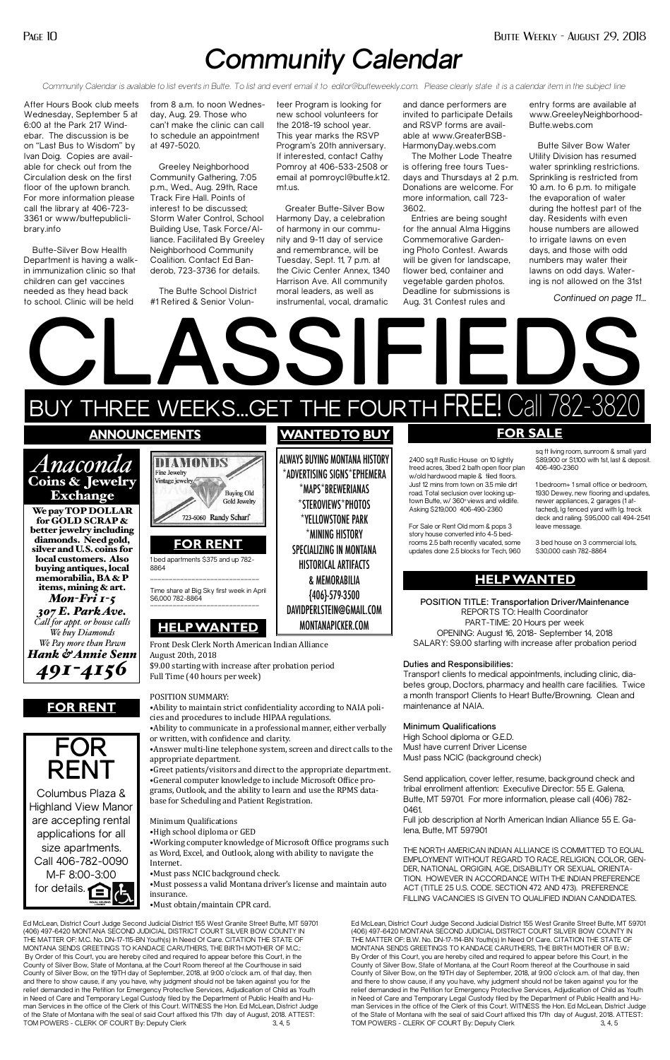## *Community Calendar*

*Community Calendar is available to list events in Butte. To list and event email it to editor@butteweekly.com. Please clearly state it is a calendar item in the subject line*

After Hours Book club meets Wednesday, September 5 at 6:00 at the Park 217 Windebar. The discussion is be on "Last Bus to Wisdom" by Ivan Doig. Copies are available for check out from the Circulation desk on the first floor of the uptown branch. For more information please call the library at 406-723- 3361 or www/buttepubliclibrary.info

Butte-Silver Bow Health Department is having a walkin immunization clinic so that children can get vaccines needed as they head back to school. Clinic will be held

from 8 a.m. to noon Wednesday, Aug. 29. Those who can't make the clinic can call to schedule an appointment at 497-5020.

Greeley Neighborhood Community Gathering, 7:05 p.m., Wed., Aug. 29th, Race Track Fire Hall. Points of interest to be discussed; Storm Water Control, School Building Use, Task Force/Alliance. Facilitated By Greeley Neighborhood Community Coalition. Contact Ed Banderob, 723-3736 for details.

The Butte School District #1 Retired & Senior Volunteer Program is looking for new school volunteers for the 2018-19 school year. This year marks the RSVP Program's 20th anniversary. If interested, contact Cathy Pomroy at 406-533-2508 or email at pomroycl@butte.k12. mt.us.

Greater Butte-Silver Bow Harmony Day, a celebration of harmony in our community and 9-11 day of service and remembrance, will be Tuesday, Sept. 11, 7 p.m. at the Civic Center Annex, 1340 Harrison Ave. All community moral leaders, as well as instrumental, vocal, dramatic

Columbus Plaza & Highland View Manor are accepting rental applications for all size apartments. Call 406-782-0090 M-F 8:00-3:00 for details.

and dance performers are invited to participate Details and RSVP forms are available at www.GreaterBSB-HarmonyDay.webs.com

The Mother Lode Theatre is offering free tours Tuesdays and Thursdays at 2 p.m. Donations are welcome. For more information, call 723- 3602.

Entries are being sought for the annual Alma Higgins Commemorative Gardening Photo Contest. Awards will be given for landscape, flower bed, container and vegetable garden photos. Deadline for submissions is Aug. 31. Contest rules and

entry forms are available at www.GreeleyNeighborhood-Butte.webs.com

Butte Silver Bow Water Utility Division has resumed water sprinkling restrictions. Sprinkling is restricted from 10 a.m. to 6 p.m. to mitigate the evaporation of water during the hottest part of the day. Residents with even house numbers are allowed to irrigate lawns on even days, and those with odd numbers may water their lawns on odd days. Watering is not allowed on the 31st

*Continued on page 11...*

Ed McLean, District Court Judge Second Judicial District 155 West Granite Street Butte, MT 59701 (406) 497-6420 MONTANA SECOND JUDICIAL DISTRICT COURT SILVER BOW COUNTY IN THE MATTER OF: M.C. No. DN-17-115-BN Youth(s) In Need Of Care. CITATION THE STATE OF MONTANA SENDS GREETINGS TO KANDACE CARUTHERS, THE BIRTH MOTHER OF M.C.: By Order of this Court, you are hereby cited and required to appear before this Court, in the County of Silver Bow, State of Montana, at the Court Room thereof at the Courthouse in said County of Silver Bow, on the 19TH day of September, 2018, at 9:00 o'clock a.m. of that day, then and there to show cause, if any you have, why judgment should not be taken against you for the relief demanded in the Petition for Emergency Protective Services, Adjudication of Child as Youth in Need of Care and Temporary Legal Custody filed by the Department of Public Health and Human Services in the office of the Clerk of this Court. WITNESS the Hon. Ed McLean, District Judge of the State of Montana with the seal of said Court affixed this 17th day of August, 2018. ATTEST: TOM POWERS - CLERK OF COURT By: Deputy Clerk



Ed McLean, District Court Judge Second Judicial District 155 West Granite Street Butte, MT 59701 (406) 497-6420 MONTANA SECOND JUDICIAL DISTRICT COURT SILVER BOW COUNTY IN THE MATTER OF: B.W. No. DN-17-114-BN Youth(s) In Need Of Care. CITATION THE STATE OF MONTANA SENDS GREETINGS TO KANDACE CARUTHERS, THE BIRTH MOTHER OF B.W.: By Order of this Court, you are hereby cited and required to appear before this Court, in the County of Silver Bow, State of Montana, at the Court Room thereof at the Courthouse in said County of Silver Bow, on the 19TH day of September, 2018, at 9:00 o'clock a.m. of that day, then and there to show cause, if any you have, why judgment should not be taken against you for the relief demanded in the Petition for Emergency Protective Services, Adjudication of Child as Youth in Need of Care and Temporary Legal Custody filed by the Department of Public Health and Human Services in the office of the Clerk of this Court. WITNESS the Hon. Ed McLean, District Judge of the State of Montana with the seal of said Court affixed this 17th day of August, 2018. ATTEST: TOM POWERS - CLERK OF COURT By: Deputy Clerk 3, 4, 5



**Minimum Qualifications**

High School diploma or G.E.D. Must have current Driver License Must pass NCIC (background check)

Send application, cover letter, resume, background check and tribal enrollment attention: Executive Director: 55 E. Galena, Butte, MT 59701. For more information, please call (406) 782- 0461.

Full job description at North American Indian Alliance 55 E. Galena, Butte, MT 597901

THE NORTH AMERICAN INDIAN ALLIANCE IS COMMITTED TO EQUAL EMPLOYMENT WITHOUT REGARD TO RACE, RELIGION, COLOR, GEN-DER, NATIONAL ORGIGIN, AGE, DISABILITY OR SEXUAL ORIENTA-TION. HOWEVER IN ACCORDANCE WITH THE INDIAN PREFERENCE ACT (TITLE 25 U.S. CODE. SECTION 472 AND 473). PREFERENCE FILLING VACANCIES IS GIVEN TO QUALIFIED INDIAN CANDIDATES.

cies and procedures to include HIPAA regulations.

⦁Ability to communicate in a professional manner, either verbally or written, with confidence and clarity.

⦁Answer multi-line telephone system, screen and direct calls to the appropriate department.

⦁Greet patients/visitors and direct to the appropriate department. ⦁General computer knowledge to include Microsoft Office programs, Outlook, and the ability to learn and use the RPMS database for Scheduling and Patient Registration.

Minimum Qualifications

⦁High school diploma or GED

⦁Working computer knowledge of Microsoft Office programs such as Word, Excel, and Outlook, along with ability to navigate the Internet.

⦁Must pass NCIC background check.

⦁Must possess a valid Montana driver's license and maintain auto insurance.

⦁Must obtain/maintain CPR card.